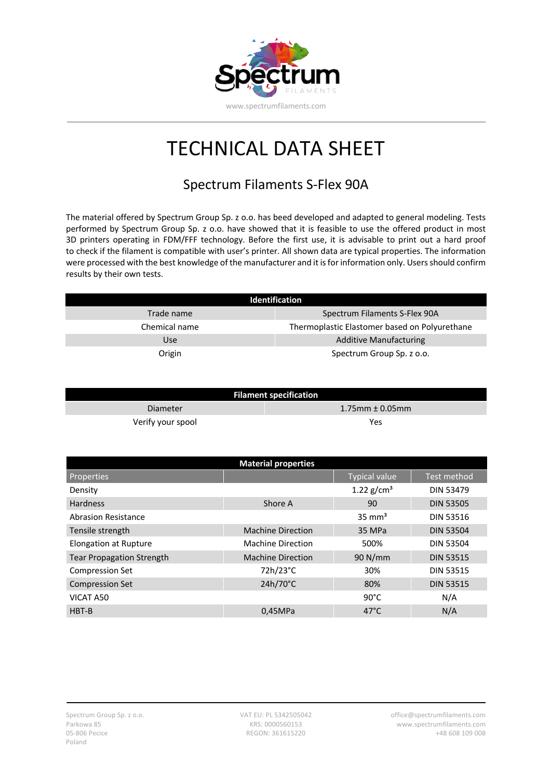

## TECHNICAL DATA SHEET

## Spectrum Filaments S-Flex 90A

The material offered by Spectrum Group Sp. z o.o. has beed developed and adapted to general modeling. Tests performed by Spectrum Group Sp. z o.o. have showed that it is feasible to use the offered product in most 3D printers operating in FDM/FFF technology. Before the first use, it is advisable to print out a hard proof to check if the filament is compatible with user's printer. All shown data are typical properties. The information were processed with the best knowledge of the manufacturer and it is for information only. Users should confirm results by their own tests.

| <b>Identification</b> |                                               |  |
|-----------------------|-----------------------------------------------|--|
| Trade name            | Spectrum Filaments S-Flex 90A                 |  |
| Chemical name         | Thermoplastic Elastomer based on Polyurethane |  |
| Use                   | <b>Additive Manufacturing</b>                 |  |
| Origin                | Spectrum Group Sp. z o.o.                     |  |

| <b>Filament specification</b> |                        |  |  |
|-------------------------------|------------------------|--|--|
| Diameter                      | $1.75$ mm $\pm$ 0.05mm |  |  |
| Verify your spool             | Yes                    |  |  |

| <b>Material properties</b>       |                          |                      |                  |  |
|----------------------------------|--------------------------|----------------------|------------------|--|
| Properties                       |                          | <b>Typical value</b> | Test method      |  |
| Density                          |                          | 1.22 $g/cm^{3}$      | <b>DIN 53479</b> |  |
| <b>Hardness</b>                  | Shore A                  | 90                   | <b>DIN 53505</b> |  |
| <b>Abrasion Resistance</b>       |                          | $35 \text{ mm}^3$    | <b>DIN 53516</b> |  |
| Tensile strength                 | <b>Machine Direction</b> | 35 MPa               | <b>DIN 53504</b> |  |
| <b>Elongation at Rupture</b>     | <b>Machine Direction</b> | 500%                 | <b>DIN 53504</b> |  |
| <b>Tear Propagation Strength</b> | <b>Machine Direction</b> | 90 N/mm              | <b>DIN 53515</b> |  |
| <b>Compression Set</b>           | 72h/23°C                 | 30%                  | <b>DIN 53515</b> |  |
| <b>Compression Set</b>           | $24h/70^{\circ}$ C       | 80%                  | <b>DIN 53515</b> |  |
| VICAT A50                        |                          | $90^{\circ}$ C       | N/A              |  |
| HBT-B                            | 0.45MPa                  | $47^{\circ}$ C       | N/A              |  |